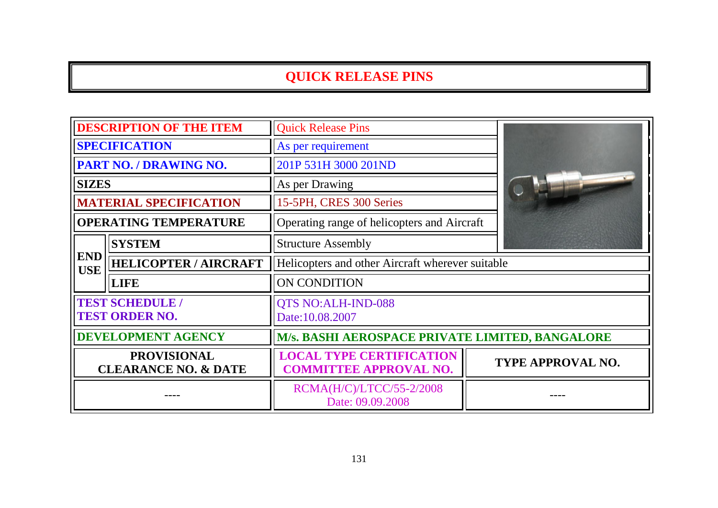| <b>DESCRIPTION OF THE ITEM</b>                        |                               | <b>Quick Release Pins</b>                                        |                   |  |  |
|-------------------------------------------------------|-------------------------------|------------------------------------------------------------------|-------------------|--|--|
| <b>SPECIFICATION</b>                                  |                               | As per requirement                                               |                   |  |  |
| PART NO. / DRAWING NO.                                |                               | 201P 531H 3000 201ND                                             |                   |  |  |
| <b>SIZES</b>                                          |                               | As per Drawing                                                   |                   |  |  |
|                                                       | <b>MATERIAL SPECIFICATION</b> | 15-5PH, CRES 300 Series                                          |                   |  |  |
| <b>OPERATING TEMPERATURE</b>                          |                               | Operating range of helicopters and Aircraft                      |                   |  |  |
|                                                       | <b>SYSTEM</b>                 | <b>Structure Assembly</b>                                        |                   |  |  |
| <b>END</b><br><b>USE</b>                              | <b>HELICOPTER / AIRCRAFT</b>  | Helicopters and other Aircraft wherever suitable                 |                   |  |  |
|                                                       | <b>LIFE</b>                   | ON CONDITION                                                     |                   |  |  |
| <b>TEST SCHEDULE /</b><br><b>TEST ORDER NO.</b>       |                               | <b>QTS NO:ALH-IND-088</b><br>Date:10.08.2007                     |                   |  |  |
| <b>DEVELOPMENT AGENCY</b>                             |                               | M/s. BASHI AEROSPACE PRIVATE LIMITED, BANGALORE                  |                   |  |  |
| <b>PROVISIONAL</b><br><b>CLEARANCE NO. &amp; DATE</b> |                               | <b>LOCAL TYPE CERTIFICATION</b><br><b>COMMITTEE APPROVAL NO.</b> | TYPE APPROVAL NO. |  |  |
|                                                       |                               | RCMA(H/C)/LTCC/55-2/2008<br>Date: 09.09.2008                     |                   |  |  |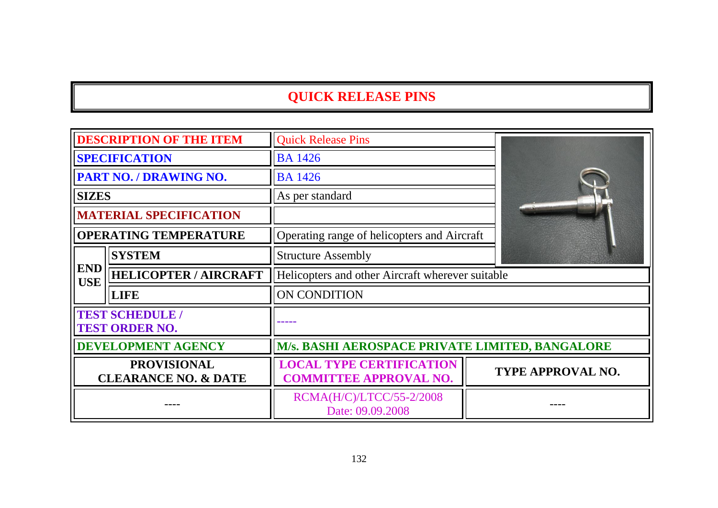| <b>DESCRIPTION OF THE ITEM</b>                        |                              | <b>Quick Release Pins</b>                                        |                   |  |
|-------------------------------------------------------|------------------------------|------------------------------------------------------------------|-------------------|--|
| <b>SPECIFICATION</b>                                  |                              | <b>BA</b> 1426                                                   |                   |  |
| <b>PART NO. / DRAWING NO.</b>                         |                              | <b>BA</b> 1426                                                   |                   |  |
| <b>SIZES</b>                                          |                              | As per standard                                                  |                   |  |
| <b>MATERIAL SPECIFICATION</b>                         |                              | Operating range of helicopters and Aircraft                      |                   |  |
| <b>OPERATING TEMPERATURE</b>                          |                              |                                                                  |                   |  |
|                                                       | <b>SYSTEM</b>                | <b>Structure Assembly</b>                                        |                   |  |
| <b>END</b><br><b>USE</b>                              | <b>HELICOPTER / AIRCRAFT</b> | Helicopters and other Aircraft wherever suitable                 |                   |  |
|                                                       | <b>LIFE</b>                  | ON CONDITION                                                     |                   |  |
| <b>TEST SCHEDULE /</b><br><b>TEST ORDER NO.</b>       |                              |                                                                  |                   |  |
| <b>DEVELOPMENT AGENCY</b>                             |                              | M/s. BASHI AEROSPACE PRIVATE LIMITED, BANGALORE                  |                   |  |
| <b>PROVISIONAL</b><br><b>CLEARANCE NO. &amp; DATE</b> |                              | <b>LOCAL TYPE CERTIFICATION</b><br><b>COMMITTEE APPROVAL NO.</b> | TYPE APPROVAL NO. |  |
|                                                       |                              | RCMA(H/C)/LTCC/55-2/2008<br>Date: 09.09.2008                     |                   |  |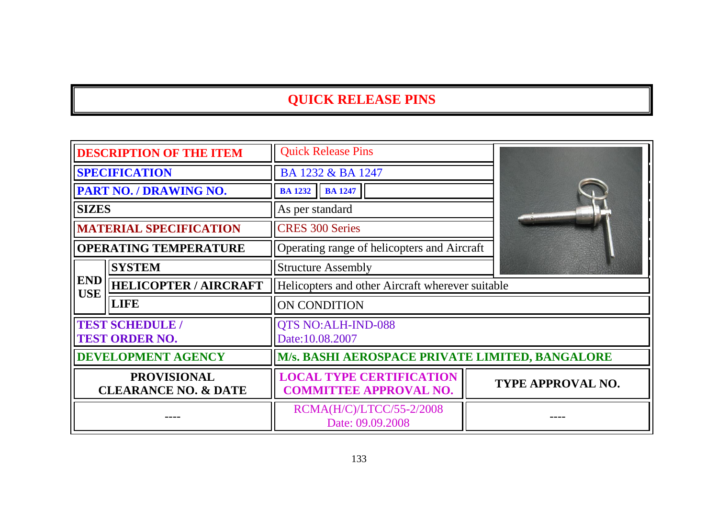| <b>DESCRIPTION OF THE ITEM</b>                        |                              | <b>Quick Release Pins</b>                                        |                          |  |  |
|-------------------------------------------------------|------------------------------|------------------------------------------------------------------|--------------------------|--|--|
| <b>SPECIFICATION</b>                                  |                              | BA 1232 & BA 1247                                                |                          |  |  |
| <b>PART NO. / DRAWING NO.</b>                         |                              | <b>BA 1232 BA 1247</b>                                           |                          |  |  |
| <b>SIZES</b>                                          |                              | As per standard                                                  |                          |  |  |
| <b>MATERIAL SPECIFICATION</b>                         |                              | <b>CRES 300 Series</b>                                           |                          |  |  |
| <b>OPERATING TEMPERATURE</b>                          |                              | Operating range of helicopters and Aircraft                      |                          |  |  |
|                                                       | <b>SYSTEM</b>                | <b>Structure Assembly</b>                                        |                          |  |  |
| <b>END</b><br><b>USE</b>                              | <b>HELICOPTER / AIRCRAFT</b> | Helicopters and other Aircraft wherever suitable                 |                          |  |  |
|                                                       | <b>LIFE</b>                  | <b>ON CONDITION</b>                                              |                          |  |  |
| <b>TEST SCHEDULE /</b><br><b>TEST ORDER NO.</b>       |                              | <b>QTS NO:ALH-IND-088</b><br>Date:10.08.2007                     |                          |  |  |
| <b>DEVELOPMENT AGENCY</b>                             |                              | M/s. BASHI AEROSPACE PRIVATE LIMITED, BANGALORE                  |                          |  |  |
| <b>PROVISIONAL</b><br><b>CLEARANCE NO. &amp; DATE</b> |                              | <b>LOCAL TYPE CERTIFICATION</b><br><b>COMMITTEE APPROVAL NO.</b> | <b>TYPE APPROVAL NO.</b> |  |  |
|                                                       |                              | RCMA(H/C)/LTCC/55-2/2008<br>Date: 09.09.2008                     |                          |  |  |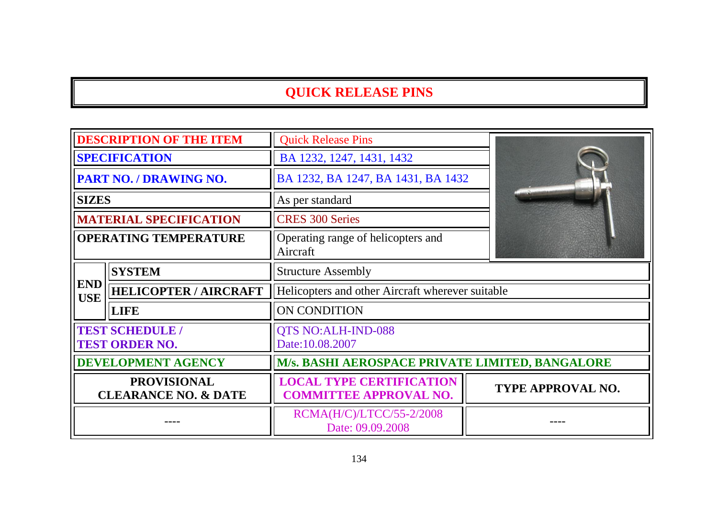| <b>DESCRIPTION OF THE ITEM</b>                        |                               | <b>Quick Release Pins</b>                                        |                          |  |  |
|-------------------------------------------------------|-------------------------------|------------------------------------------------------------------|--------------------------|--|--|
| <b>SPECIFICATION</b>                                  |                               | BA 1232, 1247, 1431, 1432                                        |                          |  |  |
| PART NO. / DRAWING NO.                                |                               | BA 1232, BA 1247, BA 1431, BA 1432                               |                          |  |  |
| <b>SIZES</b>                                          |                               | As per standard                                                  |                          |  |  |
|                                                       | <b>MATERIAL SPECIFICATION</b> | <b>CRES 300 Series</b>                                           |                          |  |  |
| <b>OPERATING TEMPERATURE</b>                          |                               | Operating range of helicopters and<br>Aircraft                   |                          |  |  |
|                                                       | <b>SYSTEM</b>                 | <b>Structure Assembly</b>                                        |                          |  |  |
| <b>END</b><br><b>USE</b>                              | <b>HELICOPTER / AIRCRAFT</b>  | Helicopters and other Aircraft wherever suitable                 |                          |  |  |
|                                                       | <b>LIFE</b>                   | ON CONDITION                                                     |                          |  |  |
| <b>TEST SCHEDULE /</b><br><b>TEST ORDER NO.</b>       |                               | QTS NO:ALH-IND-088<br>Date:10.08.2007                            |                          |  |  |
| <b>DEVELOPMENT AGENCY</b>                             |                               | M/s. BASHI AEROSPACE PRIVATE LIMITED, BANGALORE                  |                          |  |  |
| <b>PROVISIONAL</b><br><b>CLEARANCE NO. &amp; DATE</b> |                               | <b>LOCAL TYPE CERTIFICATION</b><br><b>COMMITTEE APPROVAL NO.</b> | <b>TYPE APPROVAL NO.</b> |  |  |
|                                                       |                               | RCMA(H/C)/LTCC/55-2/2008<br>Date: 09.09.2008                     |                          |  |  |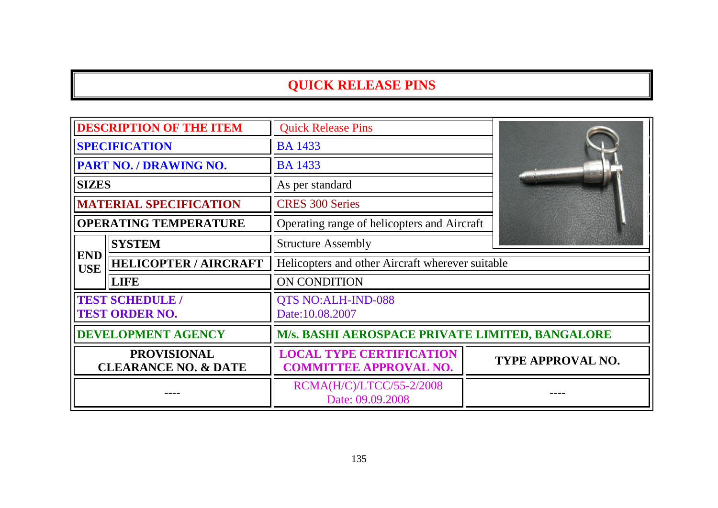| <b>DESCRIPTION OF THE ITEM</b>                        |                               | <b>Quick Release Pins</b>                                        |  |                   |  |
|-------------------------------------------------------|-------------------------------|------------------------------------------------------------------|--|-------------------|--|
| <b>SPECIFICATION</b>                                  |                               | <b>BA</b> 1433                                                   |  |                   |  |
| PART NO. / DRAWING NO.                                |                               | <b>BA 1433</b><br>As per standard                                |  |                   |  |
| <b>SIZES</b>                                          |                               |                                                                  |  |                   |  |
|                                                       | <b>MATERIAL SPECIFICATION</b> | <b>CRES 300 Series</b>                                           |  |                   |  |
| <b>OPERATING TEMPERATURE</b>                          |                               | Operating range of helicopters and Aircraft                      |  |                   |  |
|                                                       | <b>SYSTEM</b>                 | <b>Structure Assembly</b>                                        |  |                   |  |
| <b>END</b><br><b>USE</b>                              | <b>HELICOPTER / AIRCRAFT</b>  | Helicopters and other Aircraft wherever suitable                 |  |                   |  |
|                                                       | <b>LIFE</b>                   | ON CONDITION                                                     |  |                   |  |
| <b>TEST SCHEDULE /</b><br><b>TEST ORDER NO.</b>       |                               | QTS NO:ALH-IND-088<br>Date:10.08.2007                            |  |                   |  |
| <b>DEVELOPMENT AGENCY</b>                             |                               | M/s. BASHI AEROSPACE PRIVATE LIMITED, BANGALORE                  |  |                   |  |
| <b>PROVISIONAL</b><br><b>CLEARANCE NO. &amp; DATE</b> |                               | <b>LOCAL TYPE CERTIFICATION</b><br><b>COMMITTEE APPROVAL NO.</b> |  | TYPE APPROVAL NO. |  |
|                                                       |                               | RCMA(H/C)/LTCC/55-2/2008<br>Date: 09.09.2008                     |  |                   |  |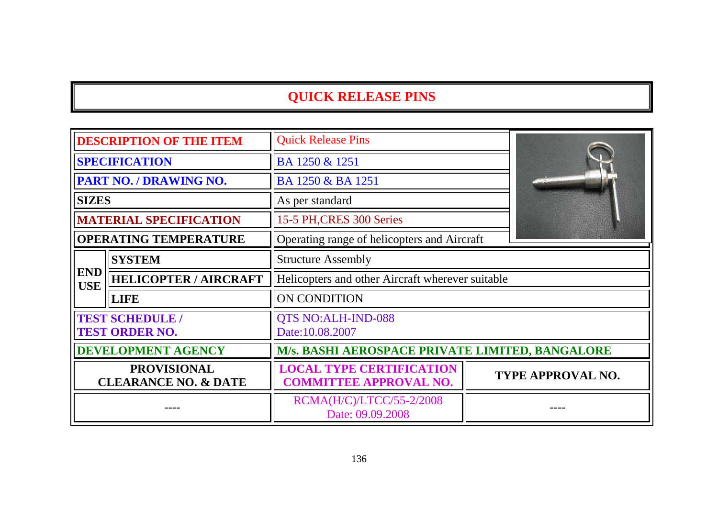| <b>DESCRIPTION OF THE ITEM</b>                        |                               | <b>Quick Release Pins</b>                                        |                          |  |
|-------------------------------------------------------|-------------------------------|------------------------------------------------------------------|--------------------------|--|
| <b>SPECIFICATION</b>                                  |                               | BA 1250 & 1251                                                   |                          |  |
| PART NO. / DRAWING NO.                                |                               | BA 1250 & BA 1251                                                |                          |  |
| <b>SIZES</b>                                          |                               | As per standard                                                  |                          |  |
|                                                       | <b>MATERIAL SPECIFICATION</b> | 15-5 PH, CRES 300 Series                                         |                          |  |
| <b>OPERATING TEMPERATURE</b>                          |                               | Operating range of helicopters and Aircraft                      |                          |  |
|                                                       | <b>SYSTEM</b>                 | <b>Structure Assembly</b>                                        |                          |  |
| <b>END</b><br><b>USE</b>                              | <b>HELICOPTER / AIRCRAFT</b>  | Helicopters and other Aircraft wherever suitable                 |                          |  |
|                                                       | <b>LIFE</b>                   | ON CONDITION                                                     |                          |  |
| <b>TEST SCHEDULE /</b><br><b>TEST ORDER NO.</b>       |                               | <b>QTS NO:ALH-IND-088</b><br>Date:10.08.2007                     |                          |  |
| <b>DEVELOPMENT AGENCY</b>                             |                               | M/s. BASHI AEROSPACE PRIVATE LIMITED, BANGALORE                  |                          |  |
| <b>PROVISIONAL</b><br><b>CLEARANCE NO. &amp; DATE</b> |                               | <b>LOCAL TYPE CERTIFICATION</b><br><b>COMMITTEE APPROVAL NO.</b> | <b>TYPE APPROVAL NO.</b> |  |
|                                                       |                               | RCMA(H/C)/LTCC/55-2/2008<br>Date: 09.09.2008                     |                          |  |